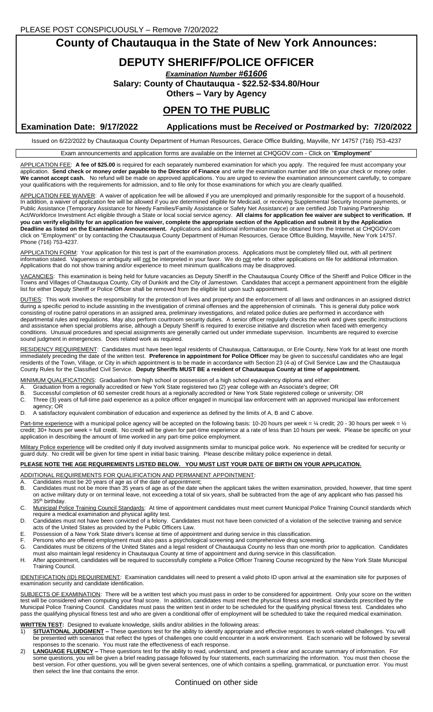**County of Chautauqua in the State of New York Announces:**

# **DEPUTY SHERIFF/POLICE OFFICER**

*Examination Number #61606*

**Salary: County of Chautauqua - \$22.52-\$34.80/Hour**

**Others – Vary by Agency**

# **OPEN TO THE PUBLIC**

**Examination Date: 9/17/2022 Applications must be** *Received* **or** *Postmarked* **by: 7/20/2022**

Issued on 6/22/2022 by Chautauqua County Department of Human Resources, Gerace Office Building, Mayville, NY 14757 (716) 753-4237

Exam announcements and application forms are available on the Internet at CHQGOV.com - Click on "**Employment**"

APPLICATION FEE: **A fee of \$25.00** is required for each separately numbered examination for which you apply. The required fee must accompany your application. **Send check or money order payable to the Director of Finance** and write the examination number and title on your check or money order. **We cannot accept cash.** No refund will be made on approved applications. You are urged to review the examination announcement carefully, to compare your qualifications with the requirements for admission, and to file only for those examinations for which you are clearly qualified.

APPLICATION FEE WAIVER: A waiver of application fee will be allowed if you are unemployed and primarily responsible for the support of a household. In addition, a waiver of application fee will be allowed if you are determined eligible for Medicaid, or receiving Supplemental Security Income payments, or Public Assistance (Temporary Assistance for Needy Families/Family Assistance or Safety Net Assistance) or are certified Job Training Partnership Act/Workforce Investment Act eligible through a State or local social service agency. **All claims for application fee waiver are subject to verification. If you can verify eligibility for an application fee waiver, complete the appropriate section of the Application and submit it by the Application Deadline as listed on the Examination Announcement.** Applications and additional information may be obtained from the Internet at CHQGOV.com click on "Employment" or by contacting the Chautauqua County Department of Human Resources, Gerace Office Building, Mayville, New York 14757. Phone (716) 753-4237.

APPLICATION FORM: Your application for this test is part of the examination process. Applications must be completely filled out, with all pertinent information stated. Vagueness or ambiguity will not be interpreted in your favor. We do not refer to other applications on file for additional information. Applications that do not show training and/or experience to meet minimum qualifications may be disapproved.

VACANCIES: This examination is being held for future vacancies as Deputy Sheriff in the Chautauqua County Office of the Sheriff and Police Officer in the Towns and Villages of Chautauqua County, City of Dunkirk and the City of Jamestown. Candidates that accept a permanent appointment from the eligible list for either Deputy Sheriff or Police Officer shall be removed from the eligible list upon such appointment.

DUTIES: This work involves the responsibility for the protection of lives and property and the enforcement of all laws and ordinances in an assigned district during a specific period to include assisting in the investigation of criminal offenses and the apprehension of criminals. This is general duty police work consisting of routine patrol operations in an assigned area, preliminary investigations, and related police duties are performed in accordance with departmental rules and regulations. May also perform courtroom security duties. A senior officer regularly checks the work and gives specific instructions and assistance when special problems arise, although a Deputy Sheriff is required to exercise initiative and discretion when faced with emergency conditions. Unusual procedures and special assignments are generally carried out under immediate supervision. Incumbents are required to exercise sound judgment in emergencies. Does related work as required.

RESIDENCY REQUIREMENT: Candidates must have been legal residents of Chautauqua, Cattaraugus, or Erie County, New York for at least one month immediately preceding the date of the written test. **Preference in appointment for Police Officer** may be given to successful candidates who are legal residents of the Town, Village, or City in which appointment is to be made in accordance with Section 23 (4-a) of Civil Service Law and the Chautauqua County Rules for the Classified Civil Service. **Deputy Sheriffs MUST BE a resident of Chautauqua County at time of appointment.**

MINIMUM QUALIFICATIONS: Graduation from high school or possession of a high school equivalency diploma and either:

- A. Graduation from a regionally accredited or New York State registered two (2) year college with an Associate's degree; OR<br>B. Successful completion of 60 semester credit bours at a regionally accredited or New York State
- Successful completion of 60 semester credit hours at a regionally accredited or New York State registered college or university; OR
- C. Three (3) years of full-time paid experience as a police officer engaged in municipal law enforcement with an approved municipal law enforcement agency; OR
- D. A satisfactory equivalent combination of education and experience as defined by the limits of A, B and C above.

Part-time experience with a municipal police agency will be accepted on the following basis: 10-20 hours per week = ¼ credit; 20 - 30 hours per week = 1/2 credit; 30+ hours per week = full credit. No credit will be given for part-time experience at a rate of less than 10 hours per week. Please be specific on your application in describing the amount of time worked in any part-time police employment.

Military Police experience will be credited only if duty involved assignments similar to municipal police work. No experience will be credited for security or guard duty. No credit will be given for time spent in initial basic training. Please describe military police experience in detail.

#### **PLEASE NOTE THE AGE REQUIREMENTS LISTED BELOW. YOU MUST LIST YOUR DATE OF BIRTH ON YOUR APPLICATION.**

ADDITIONAL REQUIREMENTS FOR QUALIFICATION AND PERMANENT APPOINTMENT:

A. Candidates must be 20 years of age as of the date of appointment;<br>B. Candidates must not be more than 35 years of age as of the date w

- Candidates must not be more than 35 years of age as of the date when the applicant takes the written examination, provided, however, that time spent on active military duty or on terminal leave, not exceeding a total of six years, shall be subtracted from the age of any applicant who has passed his 35<sup>th</sup> birthday.
- C. Municipal Police Training Council Standards: At time of appointment candidates must meet current Municipal Police Training Council standards which require a medical examination and physical agility test.
- D. Candidates must not have been convicted of a felony. Candidates must not have been convicted of a violation of the selective training and service acts of the United States as provided by the Public Officers Law.
- E. Possession of a New York State driver's license at time of appointment and during service in this classification.
- F. Persons who are offered employment must also pass a psychological screening and comprehensive drug screening.
- G. Candidates must be citizens of the United States and a legal resident of Chautauqua County no less than one month prior to application. Candidates must also maintain legal residency in Chautauqua County at time of appointment and during service in this classification.
- H. After appointment, candidates will be required to successfully complete a Police Officer Training Course recognized by the New York State Municipal Training Council.

IDENTIFICATION (ID) REQUIREMENT: Examination candidates will need to present a valid photo ID upon arrival at the examination site for purposes of examination security and candidate identification.

SUBJECTS OF EXAMINATION: There will be a written test which you must pass in order to be considered for appointment. Only your score on the written **THE CONSIDERT CONSIDERED WHEN THE CONSIDERED IN A SUBSERVIEWS TO CONSIDER THE PROPERTY OF SPINISH CONSIDERED THE UNIT THE THIRD THIRD THIRD THIRD THIRD THIRD THIRD THIRD THIRD THIRD THIRD THIRD THIRD THIRD THIRD THIRD THI** Municipal Police Training Council. Candidates must pass the written test in order to be scheduled for the qualifying physical fitness test. Candidates who pass the qualifying physical fitness test and who are given a conditional offer of employment will be scheduled to take the required medical examination.

### **WRITTEN TEST:** Designed to evaluate knowledge, skills and/or abilities in the following areas:

- 1) **SITUATIONAL JUDGMENT –** These questions test for the ability to identify appropriate and effective responses to work-related challenges. You will be presented with scenarios that reflect the types of challenges one could encounter in a work environment. Each scenario will be followed by several responses to the scenario. You must rate the effectiveness of each response.
- 2) **LANGUAGE FLUENCY –** These questions test for the ability to read, understand, and present a clear and accurate summary of information. For some questions, you will be given a brief reading passage followed by four statements, each summarizing the information. You must then choose the best version. For other questions, you will be given several sentences, one of which contains a spelling, grammatical, or punctuation error. You must then select the line that contains the error.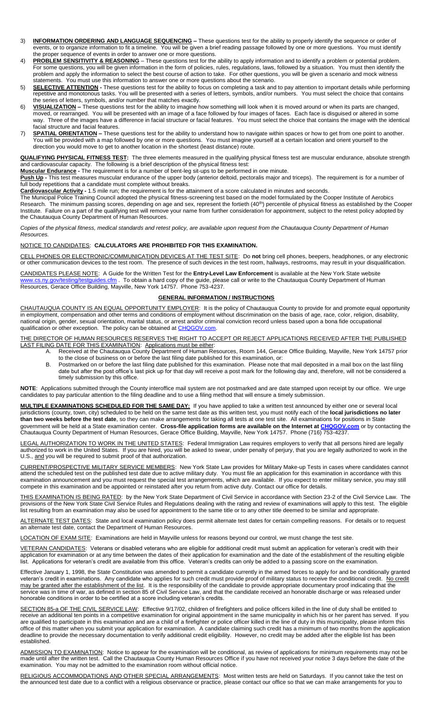- 3) **INFORMATION ORDERING AND LANGUAGE SEQUENCING –** These questions test for the ability to properly identify the sequence or order of events, or to organize information to fit a timeline. You will be given a brief reading passage followed by one or more questions. You must identify the proper sequence of events in order to answer one or more questions.
- 4) **PROBLEM SENSITIVITY & REASONING** These questions test for the ability to apply information and to identify a problem or potential problem. For some questions, you will be given information in the form of policies, rules, regulations, laws, followed by a situation. You must then identify the problem and apply the information to select the best course of action to take. For other questions, you will be given a scenario and mock witness statements. You must use this information to answer one or more questions about the scenario.
- 5) **SELECTIVE ATTENTION -** These questions test for the ability to focus on completing a task and to pay attention to important details while performing repetitive and monotonous tasks. You will be presented with a series of letters, symbols, and/or numbers. You must select the choice that contains the series of letters, symbols, and/or number that matches exactly.
- 6) **VISUALIZATION –** These questions test for the ability to imagine how something will look when it is moved around or when its parts are changed, moved, or rearranged. You will be presented with an image of a face followed by four images of faces. Each face is disguised or altered in some way. Three of the images have a difference in facial structure or facial features. You must select the choice that contains the image with the identical facial structure and facial features.
- 7) **SPATIAL ORIENTATION –** These questions test for the ability to understand how to navigate within spaces or how to get from one point to another. You will be provided with a map followed by one or more questions. You must imagine yourself at a certain location and orient yourself to the direction you would move to get to another location in the shortest (least distance) route

**QUALIFYING PHYSICAL FITNESS TEST:** The three elements measured in the qualifying physical fitness test are muscular endurance, absolute strength and cardiovascular capacity. The following is a brief description of the physical fitness test:

**Muscular Endurance -** The requirement is for a number of bent-leg sit-ups to be performed in one minute.

**Push Up -** This test measures muscular endurance of the upper body (anterior deltoid, pectoralis major and triceps). The requirement is for a number of full body repetitions that a candidate must complete without breaks.

**Cardiovascular Activity -** 1.5 mile run; the requirement is for the attainment of a score calculated in minutes and seconds.

The Municipal Police Training Council adopted the physical fitness-screening test based on the model formulated by the Cooper Institute of Aerobics Research. The minimum passing scores, depending on age and sex, represent the fortieth (40<sup>th</sup>) percentile of physical fitness as established by the Cooper Institute. Failure on a part of the qualifying test will remove your name from further consideration for appointment, subject to the retest policy adopted by the Chautauqua County Department of Human Resources.

*Copies of the physical fitness, medical standards and retest policy, are available upon request from the Chautauqua County Department of Human Resources.*

### NOTICE TO CANDIDATES: **CALCULATORS ARE PROHIBITED FOR THIS EXAMINATION.**

CELL PHONES OR ELECTRONIC/COMMUNICATION DEVICES AT THE TEST SITE: Do **not** bring cell phones, beepers, headphones, or any electronic or other communication devices to the test room. The presence of such devices in the test room, hallways, restrooms, may result in your disqualification.

CANDIDATES PLEASE NOTE: A Guide for the Written Test for the **Entry-Level Law Enforcement** is available at the New York State website [www.cs.ny.gov/testing/testguides.cfm](http://www.cs.ny.gov/testing/testguides.cfm) . To obtain a hard copy of the guide, please call or write to the Chautauqua County Department of Human Resources, Gerace Office Building, Mayville, New York 14757. Phone 753-4237.

#### **GENERAL INFORMATION / INSTRUCTIONS**

CHAUTAUQUA COUNTY IS AN EQUAL OPPORTUNITY EMPLOYER: It is the policy of Chautauqua County to provide for and promote equal opportunity in employment, compensation and other terms and conditions of employment without discrimination on the basis of age, race, color, religion, disability, national origin, gender, sexual orientation, marital status, or arrest and/or criminal conviction record unless based upon a bona fide occupational qualification or other exception. The policy can be obtained a[t CHQGOV.com.](http://www.co.chautauqua.ny.us/)

THE DIRECTOR OF HUMAN RESOURCES RESERVES THE RIGHT TO ACCEPT OR REJECT APPLICATIONS RECEIVED AFTER THE PUBLISHED LAST FILING DATE FOR THIS EXAMINATION: Applications must be either:

- A. Received at the Chautauqua County Department of Human Resources, Room 144, Gerace Office Building, Mayville, New York 14757 prior to the close of business on or before the last filing date published for this examination, or:
- B. Postmarked on or before the last filing date published for this examination. Please note that mail deposited in a mail box on the last filing date but after the post office's last pick up for that day will receive a post mark for the following day and, therefore, will not be considered a timely submission by this office.

**NOTE**: Applications submitted through the County interoffice mail system are not postmarked and are date stamped upon receipt by our office. We urge candidates to pay particular attention to the filing deadline and to use a filing method that will ensure a timely submission.

**MULTIPLE EXAMINATIONS SCHEDULED FOR THE SAME DAY:** If you have applied to take a written test announced by either one or several local jurisdictions (county, town, city) scheduled to be held on the same test date as this written test, you must notify each of the **local jurisdictions no later than two weeks before the test date**, so they can make arrangements for taking all tests at one test site. All examinations for positions in State government will be held at a State examination center. **Cross-file application forms are available on the Internet a[t CHQGOV.com](http://www.co.chautauqua.ny.us/)** or by contacting the Chautauqua County Department of Human Resources, Gerace Office Building, Mayville, New York 14757. Phone (716) 753-4237.

LEGAL AUTHORIZATION TO WORK IN THE UNITED STATES: Federal Immigration Law requires employers to verify that all persons hired are legally authorized to work in the United States. If you are hired, you will be asked to swear, under penalty of perjury, that you are legally authorized to work in the U.S., and you will be required to submit proof of that authorization.

CURRENT/PROSPECTIVE MILITARY SERVICE MEMBERS: New York State Law provides for Military Make-up Tests in cases where candidates cannot attend the scheduled test on the published test date due to active military duty. You must file an application for this examination in accordance with this examination announcement and you must request the special test arrangements, which are available. If you expect to enter military service, you may still compete in this examination and be appointed or reinstated after you return from active duty. Contact our office for details.

THIS EXAMINATION IS BEING RATED: by the New York State Department of Civil Service in accordance with Section 23-2 of the Civil Service Law. The provisions of the New York State Civil Service Rules and Regulations dealing with the rating and review of examinations will apply to this test. The eligible list resulting from an examination may also be used for appointment to the same title or to any other title deemed to be similar and appropriate.

ALTERNATE TEST DATES: State and local examination policy does permit alternate test dates for certain compelling reasons. For details or to request an alternate test date, contact the Department of Human Resources.

LOCATION OF EXAM SITE: Examinations are held in Mayville unless for reasons beyond our control, we must change the test site.

VETERAN CANDIDATES: Veterans or disabled veterans who are eligible for additional credit must submit an application for veteran's credit with their application for examination or at any time between the dates of their application for examination and the date of the establishment of the resulting eligible list. Applications for veteran's credit are available from this office. Veteran's credits can only be added to a passing score on the examination.

Effective January 1, 1998, the State Constitution was amended to permit a candidate currently in the armed forces to apply for and be conditionally granted veteran's credit in examinations. Any candidate who applies for such credit must provide proof of military status to receive the conditional credit. No credit may be granted after the establishment of the list. It is the responsibility of the candidate to provide appropriate documentary proof indicating that the service was in time of war, as defined in section 85 of Civil Service Law, and that the candidate received an honorable discharge or was released under honorable conditions in order to be certified at a score including veteran's credits.

SECTION 85-a OF THE CIVIL SERVICE LAW: Effective 9/17/02, children of firefighters and police officers killed in the line of duty shall be entitled to receive an additional ten points in a competitive examination for original appointment in the same municipality in which his or her parent has served. If you are qualified to participate in this examination and are a child of a firefighter or police officer killed in the line of duty in this municipality, please inform this office of this matter when you submit your application for examination. A candidate claiming such credit has a minimum of two months from the application deadline to provide the necessary documentation to verify additional credit eligibility. However, no credit may be added after the eligible list has been established.

ADMISSION TO EXAMINATION: Notice to appear for the examination will be conditional, as review of applications for minimum requirements may not be made until after the written test. Call the Chautauqua County Human Resources Office if you have not received your notice 3 days before the date of the examination. You may not be admitted to the examination room without official notice.

RELIGIOUS ACCOMMODATIONS AND OTHER SPECIAL ARRANGEMENTS: Most written tests are held on Saturdays. If you cannot take the test on the announced test date due to a conflict with a religious observance or practice, please contact our office so that we can make arrangements for you to